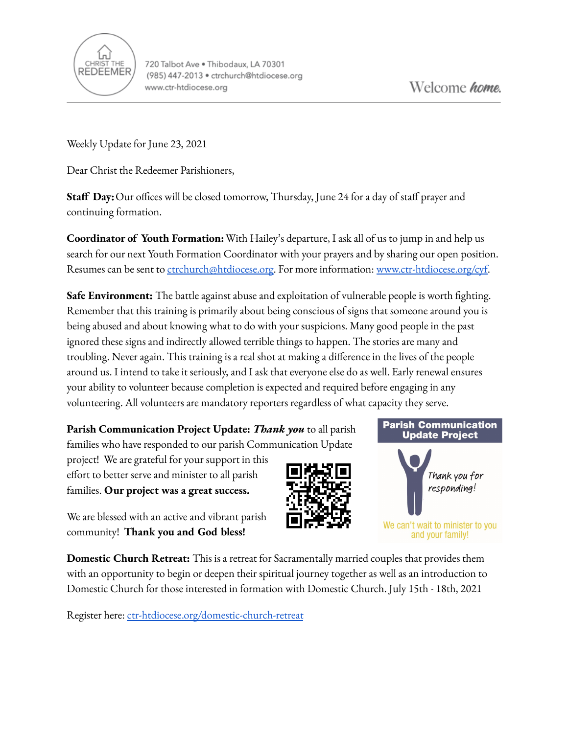

Weekly Update for June 23, 2021

Dear Christ the Redeemer Parishioners,

**Staff Day:**Our offices will be closed tomorrow, Thursday, June 24 for a day of staff prayer and continuing formation.

**Coordinator of Youth Formation:**With Hailey's departure, I ask all of us to jump in and help us search for our next Youth Formation Coordinator with your prayers and by sharing our open position. Resumes can be sent to [ctrchurch@htdiocese.org.](mailto:ctrchurch@htdiocese.org) For more information: [www.ctr-htdiocese.org/cyf.](http://www.ctr-htdiocese.org/cyf)

**Safe Environment:** The battle against abuse and exploitation of vulnerable people is worth fighting. Remember that this training is primarily about being conscious of signs that someone around you is being abused and about knowing what to do with your suspicions. Many good people in the past ignored these signs and indirectly allowed terrible things to happen. The stories are many and troubling. Never again. This training is a real shot at making a difference in the lives of the people around us. I intend to take it seriously, and I ask that everyone else do as well. Early renewal ensures your ability to volunteer because completion is expected and required before engaging in any volunteering. All volunteers are mandatory reporters regardless of what capacity they serve.



We are blessed with an active and vibrant parish community! **Thank you and God bless!**

**Domestic Church Retreat:** This is a retreat for Sacramentally married couples that provides them with an opportunity to begin or deepen their spiritual journey together as well as an introduction to Domestic Church for those interested in formation with Domestic Church. July 15th - 18th, 2021

Register here: [ctr-htdiocese.org/domestic-church-retreat](https://www.ctr-htdiocese.org/domestic-church-retreat)